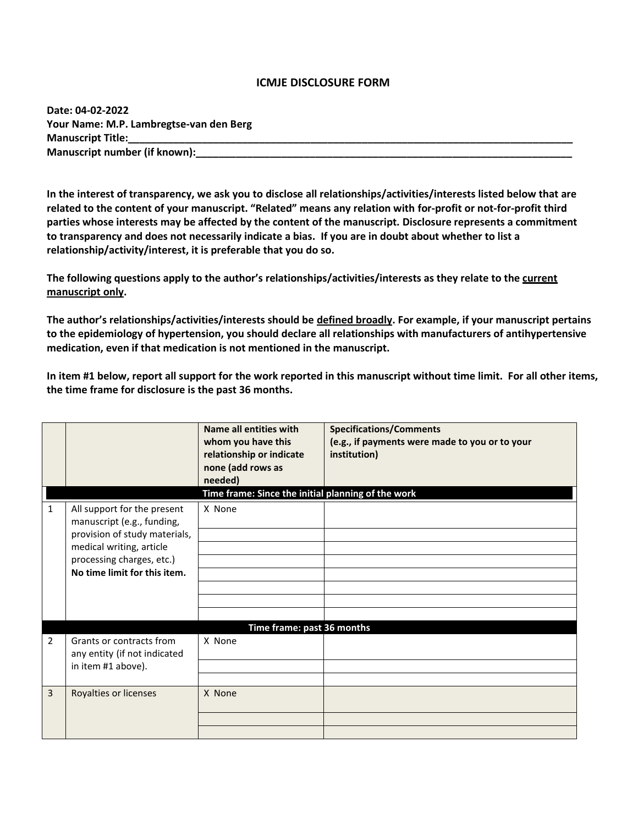## **ICMJE DISCLOSURE FORM**

**Date: 04-02-2022 Your Name: M.P. Lambregtse-van den Berg Manuscript Title: Manuscript number (if known):** 

**In the interest of transparency, we ask you to disclose all relationships/activities/interests listed below that are related to the content of your manuscript. "Related" means any relation with for-profit or not-for-profit third parties whose interests may be affected by the content of the manuscript. Disclosure represents a commitment to transparency and does not necessarily indicate a bias. If you are in doubt about whether to list a relationship/activity/interest, it is preferable that you do so.** 

**The following questions apply to the author's relationships/activities/interests as they relate to the current manuscript only.**

**The author's relationships/activities/interests should be defined broadly. For example, if your manuscript pertains to the epidemiology of hypertension, you should declare all relationships with manufacturers of antihypertensive medication, even if that medication is not mentioned in the manuscript.** 

**In item #1 below, report all support for the work reported in this manuscript without time limit. For all other items, the time frame for disclosure is the past 36 months.** 

|              |                                                                                                                                                                                     | Name all entities with<br>whom you have this<br>relationship or indicate<br>none (add rows as<br>needed)<br>Time frame: Since the initial planning of the work | <b>Specifications/Comments</b><br>(e.g., if payments were made to you or to your<br>institution) |
|--------------|-------------------------------------------------------------------------------------------------------------------------------------------------------------------------------------|----------------------------------------------------------------------------------------------------------------------------------------------------------------|--------------------------------------------------------------------------------------------------|
| $\mathbf{1}$ | All support for the present<br>manuscript (e.g., funding,<br>provision of study materials,<br>medical writing, article<br>processing charges, etc.)<br>No time limit for this item. | X None                                                                                                                                                         |                                                                                                  |
| 2            | Grants or contracts from<br>any entity (if not indicated<br>in item #1 above).                                                                                                      | Time frame: past 36 months<br>X None                                                                                                                           |                                                                                                  |
| 3            | Royalties or licenses                                                                                                                                                               | X None                                                                                                                                                         |                                                                                                  |